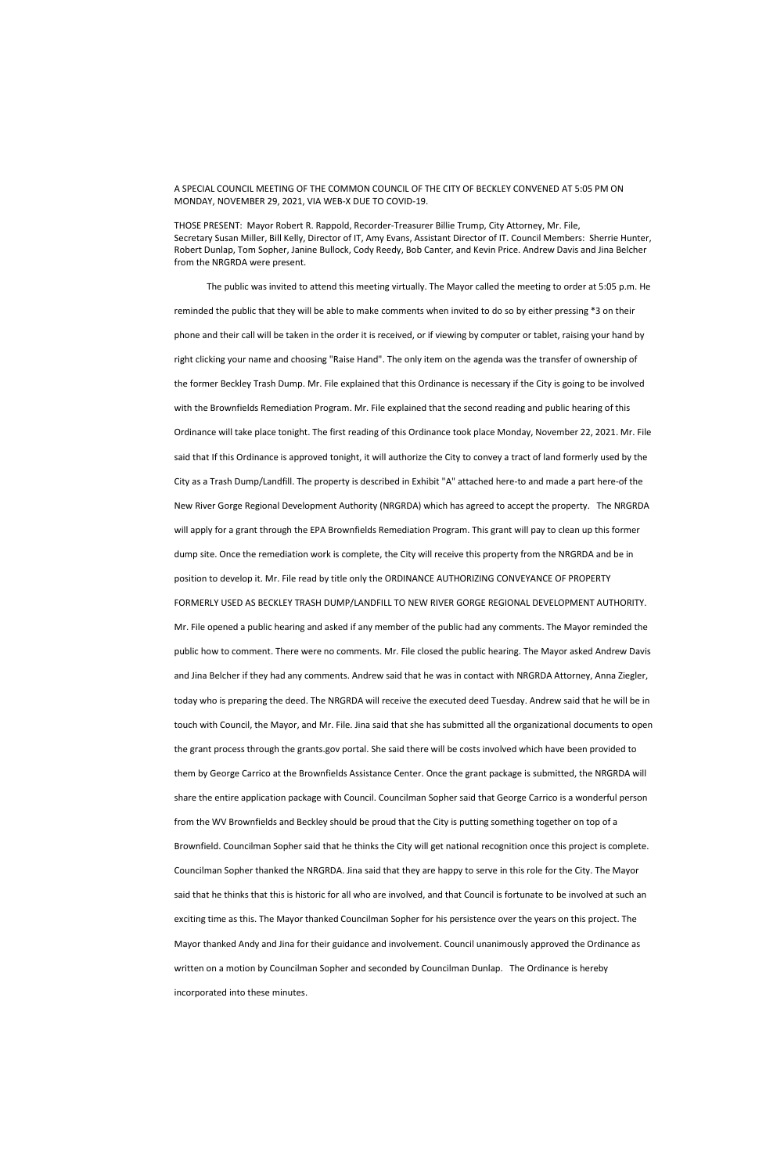## A SPECIAL COUNCIL MEETING OF THE COMMON COUNCIL OF THE CITY OF BECKLEY CONVENED AT 5:05 PM ON MONDAY, NOVEMBER 29, 2021, VIA WEB-X DUE TO COVID-19.

THOSE PRESENT: Mayor Robert R. Rappold, Recorder-Treasurer Billie Trump, City Attorney, Mr. File, Secretary Susan Miller, Bill Kelly, Director of IT, Amy Evans, Assistant Director of IT. Council Members: Sherrie Hunter, Robert Dunlap, Tom Sopher, Janine Bullock, Cody Reedy, Bob Canter, and Kevin Price. Andrew Davis and Jina Belcher from the NRGRDA were present.

 The public was invited to attend this meeting virtually. The Mayor called the meeting to order at 5:05 p.m. He reminded the public that they will be able to make comments when invited to do so by either pressing \*3 on their phone and their call will be taken in the order it is received, or if viewing by computer or tablet, raising your hand by right clicking your name and choosing "Raise Hand". The only item on the agenda was the transfer of ownership of the former Beckley Trash Dump. Mr. File explained that this Ordinance is necessary if the City is going to be involved with the Brownfields Remediation Program. Mr. File explained that the second reading and public hearing of this Ordinance will take place tonight. The first reading of this Ordinance took place Monday, November 22, 2021. Mr. File said that If this Ordinance is approved tonight, it will authorize the City to convey a tract of land formerly used by the City as a Trash Dump/Landfill. The property is described in Exhibit "A" attached here-to and made a part here-of the New River Gorge Regional Development Authority (NRGRDA) which has agreed to accept the property. The NRGRDA will apply for a grant through the EPA Brownfields Remediation Program. This grant will pay to clean up this former dump site. Once the remediation work is complete, the City will receive this property from the NRGRDA and be in position to develop it. Mr. File read by title only the ORDINANCE AUTHORIZING CONVEYANCE OF PROPERTY FORMERLY USED AS BECKLEY TRASH DUMP/LANDFILL TO NEW RIVER GORGE REGIONAL DEVELOPMENT AUTHORITY. Mr. File opened a public hearing and asked if any member of the public had any comments. The Mayor reminded the public how to comment. There were no comments. Mr. File closed the public hearing. The Mayor asked Andrew Davis and Jina Belcher if they had any comments. Andrew said that he was in contact with NRGRDA Attorney, Anna Ziegler, today who is preparing the deed. The NRGRDA will receive the executed deed Tuesday. Andrew said that he will be in touch with Council, the Mayor, and Mr. File. Jina said that she has submitted all the organizational documents to open the grant process through the grants.gov portal. She said there will be costs involved which have been provided to them by George Carrico at the Brownfields Assistance Center. Once the grant package is submitted, the NRGRDA will share the entire application package with Council. Councilman Sopher said that George Carrico is a wonderful person

from the WV Brownfields and Beckley should be proud that the City is putting something together on top of a Brownfield. Councilman Sopher said that he thinks the City will get national recognition once this project is complete. Councilman Sopher thanked the NRGRDA. Jina said that they are happy to serve in this role for the City. The Mayor said that he thinks that this is historic for all who are involved, and that Council is fortunate to be involved at such an exciting time as this. The Mayor thanked Councilman Sopher for his persistence over the years on this project. The Mayor thanked Andy and Jina for their guidance and involvement. Council unanimously approved the Ordinance as written on a motion by Councilman Sopher and seconded by Councilman Dunlap. The Ordinance is hereby incorporated into these minutes.